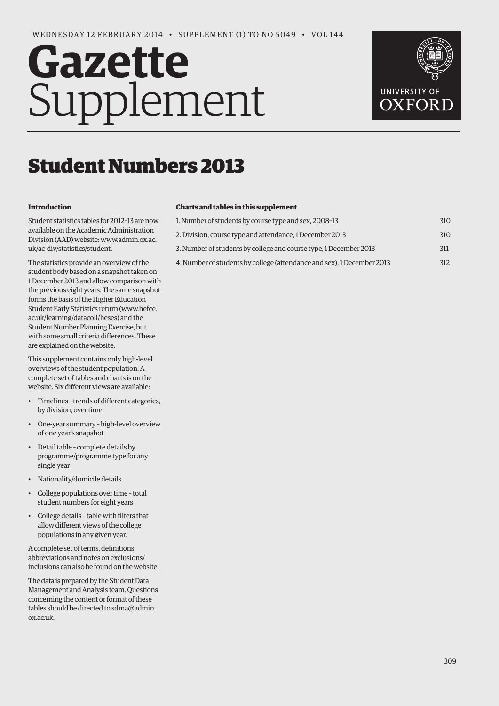# **Gazette** Supplement



## Student Numbers 2013

#### **Introduction**

Student statistics tables for 2012–13 are now available on the Academic Administration [Division \(AAD\) website: www.admin.ox.ac.](www.admin.ox.ac.uk/ac-div/statistics/student) uk/ac-div/statistics/student.

The statistics provide an overview of the student body based on a snapshot taken on 1 December 2013 and allow comparison with the previous eight years. The same snapshot forms the basis of the Higher Education [Student Early Statistics return \(www.hefce.](www.hefce.ac.uk/learning/datacoll/heses) ac.uk/learning/datacoll/heses) and the Student Number Planning Exercise, but with some small criteria differences. These are explained on the website.

This supplement contains only high-level overviews of the student population. A complete set of tables and charts is on the website. Six different views are available:

- Timelines trends of different categories, by division, over time
- One-year summary high-level overview of one year's snapshot
- Detail table complete details by programme/programme type for any single year
- Nationality/domicile details
- College populations over time total student numbers for eight years
- College details table with filters that allow different views of the college populations in any given year.

A complete set of terms, definitions, abbreviations and notes on exclusions/ inclusions can also be found on the website.

The data is prepared by the Student Data Management and Analysis team. Questions concerning the content or format of these [tables should be directed to sdma@admin.](mailto:sdma@admin.ox.ac.uk) ox.ac.uk.

#### **Charts and tables in this supplement**

| 1. Number of students by course type and sex, 2008-13                  | 310 |
|------------------------------------------------------------------------|-----|
| 2. Division, course type and attendance, 1 December 2013               | 310 |
| 3. Number of students by college and course type, 1 December 2013      | 311 |
| 4. Number of students by college (attendance and sex), 1 December 2013 | 312 |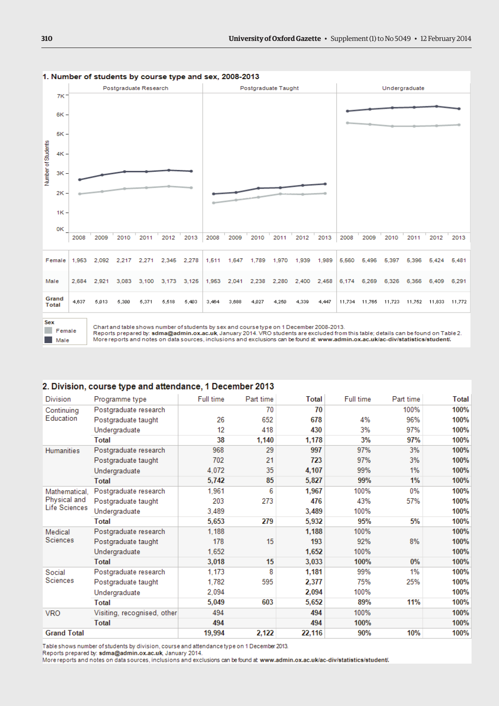

<span id="page-1-0"></span>1. Number of students by course type and sex, 2008-2013

 $F$  Female  $M = 2$ 

Chart and table shows number of students by sex and course type on 1 December 2008-2013.

Reports prepared by: sdma@admin.ox.ac.uk, January 2014. VRO students are excluded from this table; details can be found on Table 2.

More reports and notes on data sources, inclusions and exclusions can be found at www.admin.ox.ac.uk/ac-div/statistics/student/.

#### 2. Division, course type and attendance, 1 December 2013

| <b>Division</b>         | Programme type              | Full time | Part time | <b>Total</b> | Full time | Part time | <b>Total</b> |
|-------------------------|-----------------------------|-----------|-----------|--------------|-----------|-----------|--------------|
| Continuing<br>Education | Postgraduate research       |           | 70        | 70           |           | 100%      | 100%         |
|                         | Postgraduate taught         | 26        | 652       | 678          | 4%        | 96%       | 100%         |
|                         | Undergraduate               | 12        | 418       | 430          | 3%        | 97%       | 100%         |
|                         | Total                       | 38        | 1,140     | 1,178        | 3%        | 97%       | 100%         |
| <b>Humanities</b>       | Postgraduate research       | 968       | 29        | 997          | 97%       | 3%        | 100%         |
|                         | Postgraduate taught         | 702       | 21        | 723          | 97%       | 3%        | 100%         |
|                         | Undergraduate               | 4,072     | 35        | 4,107        | 99%       | 1%        | 100%         |
|                         | <b>Total</b>                | 5,742     | 85        | 5,827        | 99%       | 1%        | 100%         |
| Mathematical.           | Postgraduate research       | 1,961     | 6         | 1,967        | 100%      | 0%        | 100%         |
| Physical and            | Postgraduate taught         | 203       | 273       | 476          | 43%       | 57%       | 100%         |
| Life Sciences           | Undergraduate               | 3.489     |           | 3,489        | 100%      |           | 100%         |
|                         | Total                       | 5,653     | 279       | 5,932        | 95%       | 5%        | 100%         |
| Medical                 | Postgraduate research       | 1,188     |           | 1,188        | 100%      |           | 100%         |
| Sciences                | Postgraduate taught         | 178       | 15        | 193          | 92%       | 8%        | 100%         |
|                         | Undergraduate               | 1,652     |           | 1,652        | 100%      |           | 100%         |
|                         | <b>Total</b>                | 3,018     | 15        | 3,033        | 100%      | $0\%$     | 100%         |
| Social<br>Sciences      | Postgraduate research       | 1.173     | 8         | 1,181        | 99%       | 1%        | 100%         |
|                         | Postgraduate taught         | 1,782     | 595       | 2,377        | 75%       | 25%       | 100%         |
|                         | Undergraduate               | 2,094     |           | 2,094        | 100%      |           | 100%         |
|                         | <b>Total</b>                | 5,049     | 603       | 5,652        | 89%       | 11%       | 100%         |
| <b>VRO</b>              | Visiting, recognised, other | 494       |           | 494          | 100%      |           | 100%         |
|                         | <b>Total</b>                | 494       |           | 494          | 100%      |           | 100%         |
| <b>Grand Total</b>      |                             | 19,994    | 2,122     | 22,116       | 90%       | 10%       | 100%         |

Table shows number of students by division, course and attendance type on 1 December 2013.

Reports prepared by: sdma@admin.ox.ac.uk. January 2014.

More reports and notes on data sources, inclusions and exclusions can be found at www.admin.ox.ac.uk/ac-div/statistics/student/.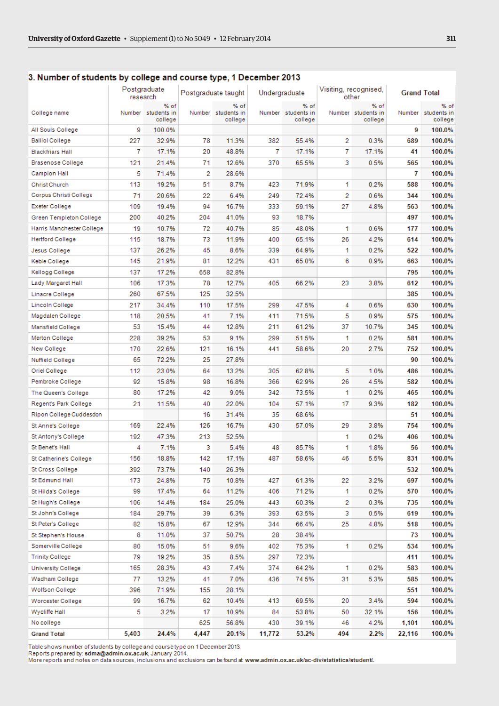|                           |       | Postgraduate<br>research              | Postgraduate taught |                                       | Undergraduate |                                       | Visiting, recognised,<br>other |                                       | <b>Grand Total</b> |                                |
|---------------------------|-------|---------------------------------------|---------------------|---------------------------------------|---------------|---------------------------------------|--------------------------------|---------------------------------------|--------------------|--------------------------------|
| College name              |       | % of<br>Number students in<br>college |                     | % of<br>Number students in<br>college |               | % of<br>Number students in<br>college |                                | % of<br>Number students in<br>college | Number             | % of<br>students in<br>college |
| All Souls College         | 9     | 100.0%                                |                     |                                       |               |                                       |                                |                                       | 9                  | 100.0%                         |
| <b>Balliol College</b>    | 227   | 32.9%                                 | 78                  | 11.3%                                 | 382           | 55.4%                                 | 2                              | 0.3%                                  | 689                | 100.0%                         |
| <b>Blackfriars Hall</b>   | 7     | 17.1%                                 | 20                  | 48.8%                                 | 7             | 17.1%                                 | 7                              | 17.1%                                 | 41                 | 100.0%                         |
| Brasenose College         | 121   | 21.4%                                 | 71                  | 12.6%                                 | 370           | 65.5%                                 | 3                              | 0.5%                                  | 565                | 100.0%                         |
| Campion Hall              | 5     | 71.4%                                 | 2                   | 28.6%                                 |               |                                       |                                |                                       | 7                  | 100.0%                         |
| Christ Church             | 113   | 19.2%                                 | 51                  | 8.7%                                  | 423           | 71.9%                                 | 1                              | 0.2%                                  | 588                | 100.0%                         |
| Corpus Christi College    | 71    | 20.6%                                 | 22                  | 6.4%                                  | 249           | 72.4%                                 | 2                              | 0.6%                                  | 344                | 100.0%                         |
| Exeter College            | 109   | 19.4%                                 | 94                  | 16.7%                                 | 333           | 59.1%                                 | 27                             | 4.8%                                  | 563                | 100.0%                         |
| Green Templeton College   | 200   | 40.2%                                 | 204                 | 41.0%                                 | 93            | 18.7%                                 |                                |                                       | 497                | 100.0%                         |
| Harris Manchester College | 19    | 10.7%                                 | 72                  | 40.7%                                 | 85            | 48.0%                                 | 1                              | 0.6%                                  | 177                | 100.0%                         |
| <b>Hertford College</b>   | 115   | 18.7%                                 | 73                  | 11.9%                                 | 400           | 65.1%                                 | 26                             | 4.2%                                  | 614                | 100.0%                         |
| Jesus College             | 137   | 26.2%                                 | 45                  | 8.6%                                  | 339           | 64.9%                                 | 1                              | 0.2%                                  | 522                | 100.0%                         |
| Keble College             | 145   | 21.9%                                 | 81                  | 12.2%                                 | 431           | 65.0%                                 | 6                              | 0.9%                                  | 663                | 100.0%                         |
| Kellogg College           | 137   | 17.2%                                 | 658                 | 82.8%                                 |               |                                       |                                |                                       | 795                | 100.0%                         |
| Lady Margaret Hall        | 106   | 17.3%                                 | 78                  | 12.7%                                 | 405           | 66.2%                                 | 23                             | 3.8%                                  | 612                | 100.0%                         |
| Linacre College           | 260   | 67.5%                                 | 125                 | 32.5%                                 |               |                                       |                                |                                       | 385                | 100.0%                         |
| Lincoln College           | 217   | 34.4%                                 | 110                 | 17.5%                                 | 299           | 47.5%                                 | 4                              | 0.6%                                  | 630                | 100.0%                         |
| Magdalen College          | 118   | 20.5%                                 | 41                  | 7.1%                                  | 411           | 71.5%                                 | 5                              | 0.9%                                  | 575                | 100.0%                         |
| Mansfield College         | 53    | 15.4%                                 | 44                  | 12.8%                                 | 211           | 61.2%                                 | 37                             | 10.7%                                 | 345                | 100.0%                         |
| Merton College            | 228   | 39.2%                                 | 53                  | 9.1%                                  | 299           | 51.5%                                 | 1                              | 0.2%                                  | 581                | 100.0%                         |
| New College               | 170   | 22.6%                                 | 121                 | 16.1%                                 | 441           | 58.6%                                 | 20                             | 2.7%                                  | 752                | 100.0%                         |
| Nuffield College          | 65    | 72.2%                                 | 25                  | 27.8%                                 |               |                                       |                                |                                       | 90                 | 100.0%                         |
| Oriel College             | 112   | 23.0%                                 | 64                  | 13.2%                                 | 305           | 62.8%                                 | 5                              | 1.0%                                  | 486                | 100.0%                         |
| Pembroke College          | 92    | 15.8%                                 | 98                  | 16.8%                                 | 366           | 62.9%                                 | 26                             | 4.5%                                  | 582                | 100.0%                         |
| The Queen's College       | 80    | 17.2%                                 | 42                  | 9.0%                                  | 342           | 73.5%                                 | 1                              | 0.2%                                  | 465                | 100.0%                         |
| Regent's Park College     | 21    | 11.5%                                 | 40                  | 22.0%                                 | 104           | 57.1%                                 | 17                             | 9.3%                                  | 182                | 100.0%                         |
| Ripon College Cuddesdon   |       |                                       | 16                  | 31.4%                                 | 35            | 68.6%                                 |                                |                                       | 51                 | 100.0%                         |
| St Anne's College         | 169   | 22.4%                                 | 126                 | 16.7%                                 | 430           | 57.0%                                 | 29                             | 3.8%                                  | 754                | 100.0%                         |
| St Antony's College       | 192   | 47.3%                                 | 213                 | 52.5%                                 |               |                                       | 1                              | 0.2%                                  | 406                | 100.0%                         |
| St Benet's Hall           | 4     | 7.1%                                  | 3                   | 5.4%                                  | 48            | 85.7%                                 | 1                              | 1.8%                                  | 56                 | 100.0%                         |
| St Catherine's College    | 156   | 18.8%                                 | 142                 | 17.1%                                 | 487           | 58.6%                                 | 46                             | 5.5%                                  | 831                | 100.0%                         |
| St Cross College          | 392   | 73.7%                                 | 140                 | 26.3%                                 |               |                                       |                                |                                       | 532                | 100.0%                         |
| St Edmund Hall            | 173   | 24.8%                                 | 75                  | 10.8%                                 | 427           | 61.3%                                 | 22                             | 3.2%                                  | 697                | 100.0%                         |
| St Hilda's College        | 99    | 17.4%                                 | 64                  | 11.2%                                 | 406           | 71.2%                                 | 1                              | 0.2%                                  | 570                | 100.0%                         |
| St Hugh's College         | 106   | 14.4%                                 | 184                 | 25.0%                                 | 443           | 60.3%                                 | 2                              | 0.3%                                  | 735                | 100.0%                         |
| St John's College         | 184   | 29.7%                                 | 39                  | 6.3%                                  | 393           | 63.5%                                 | з                              | 0.5%                                  | 619                | 100.0%                         |
| St Peter's College        | 82    | 15.8%                                 | 67                  | 12.9%                                 | 344           | 66.4%                                 | 25                             | 4.8%                                  | 518                | 100.0%                         |
| St Stephen's House        | 8     | 11.0%                                 | 37                  | 50.7%                                 | 28            | 38.4%                                 |                                |                                       | 73                 | 100.0%                         |
| Somerville College        | 80    | 15.0%                                 | 51                  | 9.6%                                  | 402           | 75.3%                                 | 1                              | 0.2%                                  | 534                | 100.0%                         |
| <b>Trinity College</b>    | 79    | 19.2%                                 | 35                  | 8.5%                                  | 297           | 72.3%                                 |                                |                                       | 411                | 100.0%                         |
| University College        | 165   | 28.3%                                 | 43                  | 7.4%                                  | 374           | 64.2%                                 | 1                              | 0.2%                                  | 583                | 100.0%                         |
| Wadham College            | 77    | 13.2%                                 | 41                  | 7.0%                                  | 436           | 74.5%                                 | 31                             | 5.3%                                  | 585                | 100.0%                         |
| Wolfson College           | 396   | 71.9%                                 | 155                 | 28.1%                                 |               |                                       |                                |                                       | 551                | 100.0%                         |
| Worcester College         | 99    | 16.7%                                 | 62                  | 10.4%                                 | 413           | 69.5%                                 | 20                             | 3.4%                                  | 594                | 100.0%                         |
| Wycliffe Hall             | 5     | 3.2%                                  | 17                  | 10.9%                                 | 84            | 53.8%                                 | 50                             | 32.1%                                 | 156                | 100.0%                         |
| No college                |       |                                       | 625                 | 56.8%                                 | 430           | 39.1%                                 | 46                             | 4.2%                                  | 1,101              | 100.0%                         |
| <b>Grand Total</b>        | 5,403 | 24.4%                                 | 4,447               | 20.1%                                 | 11,772        | 53.2%                                 | 494                            | 2.2%                                  | 22,116             | 100.0%                         |
|                           |       |                                       |                     |                                       |               |                                       |                                |                                       |                    |                                |

#### <span id="page-2-0"></span>3. Number of students by college and course type, 1 December 2013

Table shows number of students by college and course type on 1 December 2013.

Reports prepared by: sdma@admin.ox.ac.uk, January 2014.<br>More reports and notes on data sources, inclusions and exclusions can be found at www.admin.ox.ac.uk/ac-div/statistics/student/.